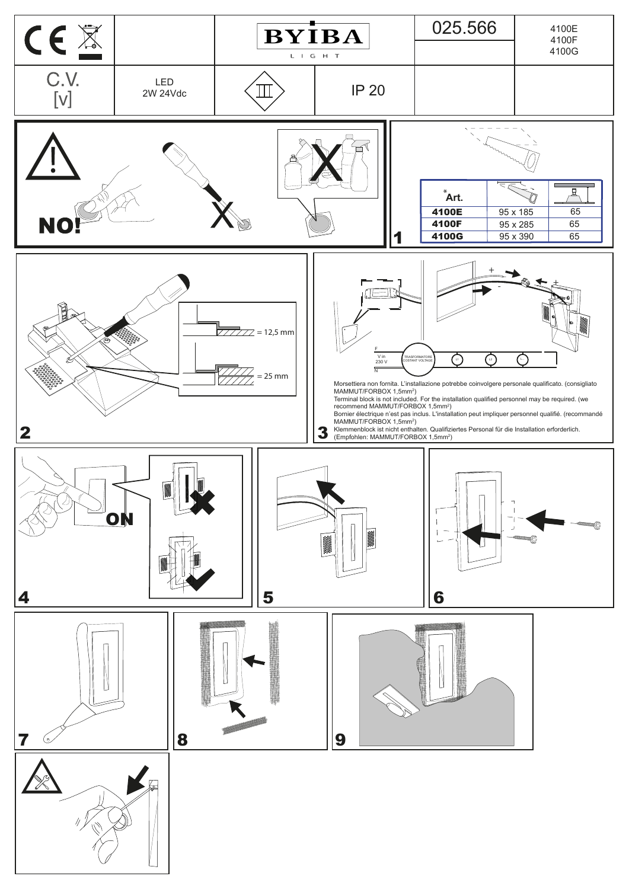